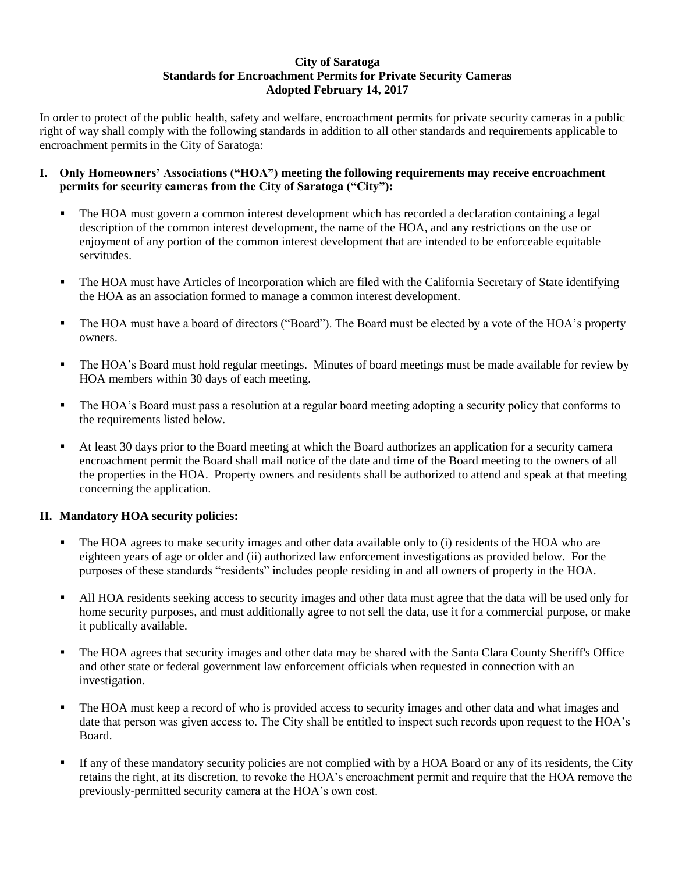## **City of Saratoga Standards for Encroachment Permits for Private Security Cameras Adopted February 14, 2017**

In order to protect of the public health, safety and welfare, encroachment permits for private security cameras in a public right of way shall comply with the following standards in addition to all other standards and requirements applicable to encroachment permits in the City of Saratoga:

## **I. Only Homeowners' Associations ("HOA") meeting the following requirements may receive encroachment permits for security cameras from the City of Saratoga ("City"):**

- The HOA must govern a common interest development which has recorded a declaration containing a legal description of the common interest development, the name of the HOA, and any restrictions on the use or enjoyment of any portion of the common interest development that are intended to be enforceable equitable servitudes.
- The HOA must have Articles of Incorporation which are filed with the California Secretary of State identifying the HOA as an association formed to manage a common interest development.
- The HOA must have a board of directors ("Board"). The Board must be elected by a vote of the HOA's property owners.
- The HOA's Board must hold regular meetings. Minutes of board meetings must be made available for review by HOA members within 30 days of each meeting.
- The HOA's Board must pass a resolution at a regular board meeting adopting a security policy that conforms to the requirements listed below.
- At least 30 days prior to the Board meeting at which the Board authorizes an application for a security camera encroachment permit the Board shall mail notice of the date and time of the Board meeting to the owners of all the properties in the HOA. Property owners and residents shall be authorized to attend and speak at that meeting concerning the application.

## **II. Mandatory HOA security policies:**

- The HOA agrees to make security images and other data available only to (i) residents of the HOA who are eighteen years of age or older and (ii) authorized law enforcement investigations as provided below. For the purposes of these standards "residents" includes people residing in and all owners of property in the HOA.
- All HOA residents seeking access to security images and other data must agree that the data will be used only for home security purposes, and must additionally agree to not sell the data, use it for a commercial purpose, or make it publically available.
- The HOA agrees that security images and other data may be shared with the Santa Clara County Sheriff's Office and other state or federal government law enforcement officials when requested in connection with an investigation.
- The HOA must keep a record of who is provided access to security images and other data and what images and date that person was given access to. The City shall be entitled to inspect such records upon request to the HOA's Board.
- If any of these mandatory security policies are not complied with by a HOA Board or any of its residents, the City retains the right, at its discretion, to revoke the HOA's encroachment permit and require that the HOA remove the previously-permitted security camera at the HOA's own cost.